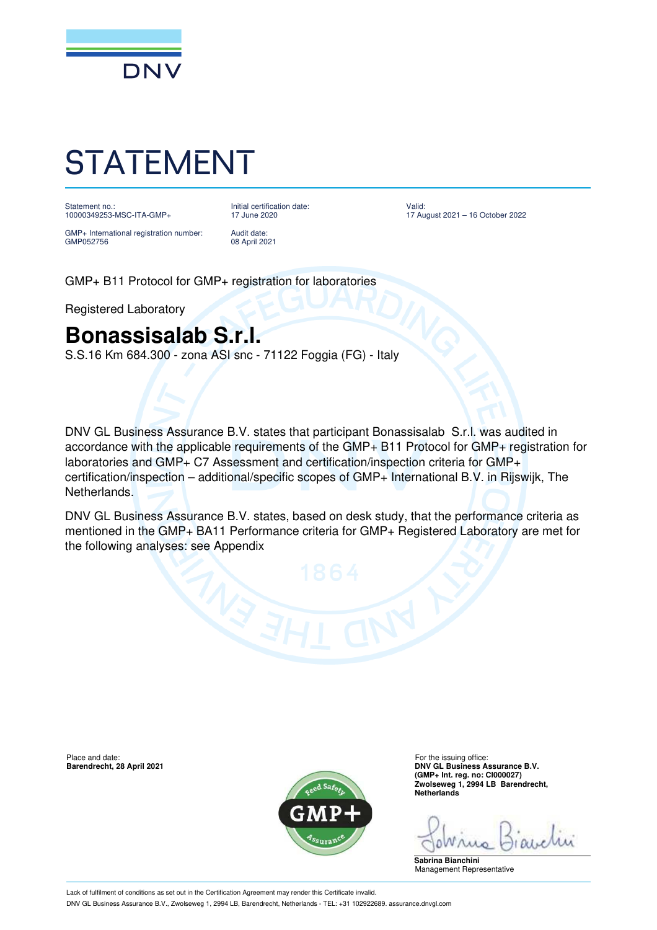

## STATEMENT

Statement no.: 10000349253-MSC-ITA-GMP+ Initial certification date: 17 June 2020

GMP+ International registration number: GMP052756

Audit date: 08 April 2021

Valid: 17 August 2021 – 16 October 2022

GMP+ B11 Protocol for GMP+ registration for laboratories

Registered Laboratory

## **Bonassisalab S.r.l.**

S.S.16 Km 684.300 - zona ASI snc - 71122 Foggia (FG) - Italy

DNV GL Business Assurance B.V. states that participant Bonassisalab S.r.l. was audited in accordance with the applicable requirements of the GMP+ B11 Protocol for GMP+ registration for laboratories and GMP+ C7 Assessment and certification/inspection criteria for GMP+ certification/inspection – additional/specific scopes of GMP+ International B.V. in Rijswijk, The Netherlands.

DNV GL Business Assurance B.V. states, based on desk study, that the performance criteria as mentioned in the GMP+ BA11 Performance criteria for GMP+ Registered Laboratory are met for the following analyses: see Appendix

Place and date: For the issuing office:<br> **Barendrecht, 28 April 2021** Contract the intervals of the issuing office: For the issuing office:



**BARENDRECHT, 28 ASSURANCE B.V. DNV GL Business Assurance B.V. (GMP+ Int. reg. no: CI000027) Zwolseweg 1, 2994 LB Barendrecht, Netherlands**

**Sabrina Bianchini** Management Representative

Lack of fulfilment of conditions as set out in the Certification Agreement may render this Certificate invalid. DNV GL Business Assurance B.V., Zwolseweg 1, 2994 LB, Barendrecht, Netherlands - TEL: +31 102922689. assurance.dnvgl.com